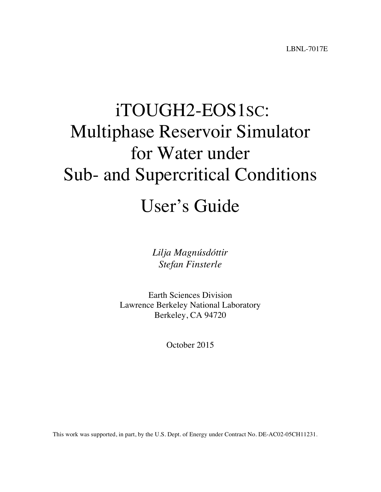# iTOUGH2-EOS1SC: Multiphase Reservoir Simulator for Water under Sub- and Supercritical Conditions User's Guide

*Lilja Magnúsdóttir Stefan Finsterle*

Earth Sciences Division Lawrence Berkeley National Laboratory Berkeley, CA 94720

October 2015

This work was supported, in part, by the U.S. Dept. of Energy under Contract No. DE-AC02-05CH11231.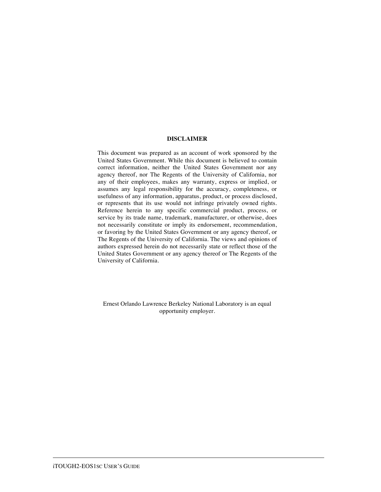#### **DISCLAIMER**

This document was prepared as an account of work sponsored by the United States Government. While this document is believed to contain correct information, neither the United States Government nor any agency thereof, nor The Regents of the University of California, nor any of their employees, makes any warranty, express or implied, or assumes any legal responsibility for the accuracy, completeness, or usefulness of any information, apparatus, product, or process disclosed, or represents that its use would not infringe privately owned rights. Reference herein to any specific commercial product, process, or service by its trade name, trademark, manufacturer, or otherwise, does not necessarily constitute or imply its endorsement, recommendation, or favoring by the United States Government or any agency thereof, or The Regents of the University of California. The views and opinions of authors expressed herein do not necessarily state or reflect those of the United States Government or any agency thereof or The Regents of the University of California.

Ernest Orlando Lawrence Berkeley National Laboratory is an equal opportunity employer.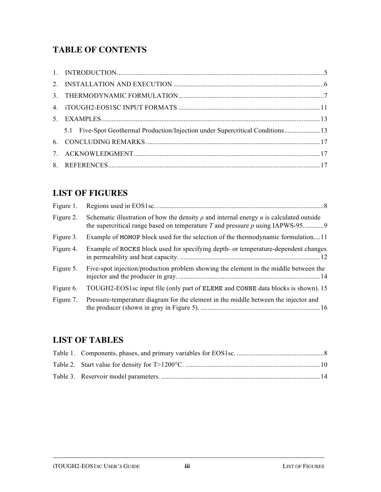# **TABLE OF CONTENTS**

| 5.1 Five-Spot Geothermal Production/Injection under Supercritical Conditions13 |  |
|--------------------------------------------------------------------------------|--|
|                                                                                |  |
|                                                                                |  |
|                                                                                |  |

# **LIST OF FIGURES**

| Figure 1. |                                                                                                                                                                                     |
|-----------|-------------------------------------------------------------------------------------------------------------------------------------------------------------------------------------|
| Figure 2. | Schematic illustration of how the density $\rho$ and internal energy $u$ is calculated outside<br>the supercritical range based on temperature $T$ and pressure $p$ using IAPWS-959 |
| Figure 3. | Example of MOMOP block used for the selection of the thermodynamic formulation11                                                                                                    |
| Figure 4. | Example of ROCKS block used for specifying depth- or temperature-dependent changes                                                                                                  |
| Figure 5. | Five-spot injection/production problem showing the element in the middle between the                                                                                                |
| Figure 6. | TOUGH2-EOS1sc input file (only part of ELEME and CONNE data blocks is shown). 15                                                                                                    |
| Figure 7. | Pressure-temperature diagram for the element in the middle between the injector and                                                                                                 |

# **LIST OF TABLES**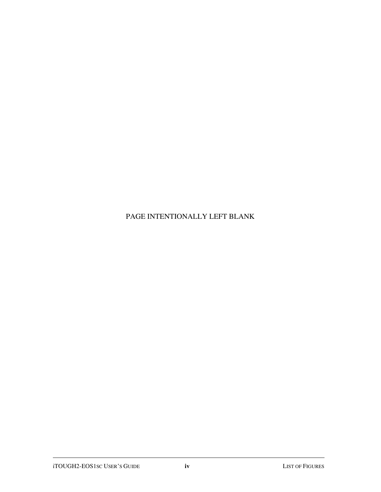PAGE INTENTIONALLY LEFT BLANK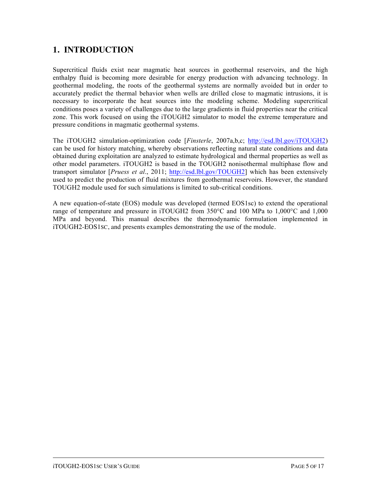## **1. INTRODUCTION**

Supercritical fluids exist near magmatic heat sources in geothermal reservoirs, and the high enthalpy fluid is becoming more desirable for energy production with advancing technology. In geothermal modeling, the roots of the geothermal systems are normally avoided but in order to accurately predict the thermal behavior when wells are drilled close to magmatic intrusions, it is necessary to incorporate the heat sources into the modeling scheme. Modeling supercritical conditions poses a variety of challenges due to the large gradients in fluid properties near the critical zone. This work focused on using the iTOUGH2 simulator to model the extreme temperature and pressure conditions in magmatic geothermal systems.

The iTOUGH2 simulation-optimization code [*Finsterle*, 2007a,b,c; http://esd.lbl.gov/iTOUGH2) can be used for history matching, whereby observations reflecting natural state conditions and data obtained during exploitation are analyzed to estimate hydrological and thermal properties as well as other model parameters. iTOUGH2 is based in the TOUGH2 nonisothermal multiphase flow and transport simulator [*Pruess et al*., 2011; http://esd.lbl.gov/TOUGH2] which has been extensively used to predict the production of fluid mixtures from geothermal reservoirs. However, the standard TOUGH2 module used for such simulations is limited to sub-critical conditions.

A new equation-of-state (EOS) module was developed (termed EOS1sc) to extend the operational range of temperature and pressure in iTOUGH2 from 350°C and 100 MPa to 1,000°C and 1,000 MPa and beyond. This manual describes the thermodynamic formulation implemented in iTOUGH2-EOS1SC, and presents examples demonstrating the use of the module.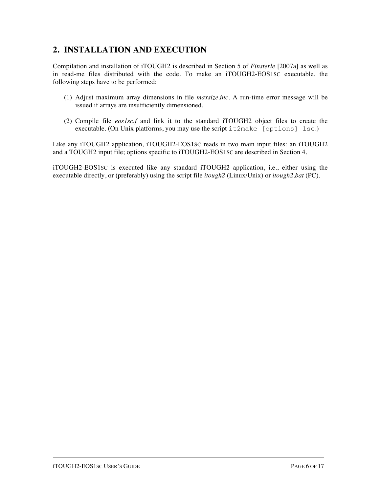## **2. INSTALLATION AND EXECUTION**

Compilation and installation of iTOUGH2 is described in Section 5 of *Finsterle* [2007a] as well as in read-me files distributed with the code. To make an iTOUGH2-EOS1SC executable, the following steps have to be performed:

- (1) Adjust maximum array dimensions in file *maxsize.inc*. A run-time error message will be issued if arrays are insufficiently dimensioned.
- (2) Compile file *eos1sc.f* and link it to the standard iTOUGH2 object files to create the executable. (On Unix platforms, you may use the script it2make [options] 1sc.)

Like any iTOUGH2 application, iTOUGH2-EOS1SC reads in two main input files: an iTOUGH2 and a TOUGH2 input file; options specific to iTOUGH2-EOS1SC are described in Section 4.

iTOUGH2-EOS1SC is executed like any standard iTOUGH2 application, i.e., either using the executable directly, or (preferably) using the script file *itough2* (Linux/Unix) or *itough2.bat* (PC).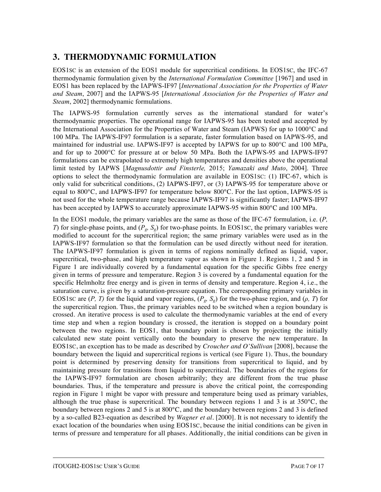## **3. THERMODYNAMIC FORMULATION**

EOS1SC is an extension of the EOS1 module for supercritical conditions. In EOS1SC, the IFC-67 thermodynamic formulation given by the *International Formulation Committee* [1967] and used in EOS1 has been replaced by the IAPWS-IF97 [*International Association for the Properties of Water and Steam*, 2007] and the IAPWS-95 [*International Association for the Properties of Water and Steam*, 2002] thermodynamic formulations.

The IAPWS-95 formulation currently serves as the international standard for water's thermodynamic properties. The operational range for IAPWS-95 has been tested and accepted by the International Association for the Properties of Water and Steam (IAPWS) for up to 1000°C and 100 MPa. The IAPWS-IF97 formulation is a separate, faster formulation based on IAPWS-95, and maintained for industrial use. IAPWS-IF97 is accepted by IAPWS for up to 800°C and 100 MPa, and for up to 2000°C for pressure at or below 50 MPa. Both the IAPWS-95 and IAPWS-IF97 formulations can be extrapolated to extremely high temperatures and densities above the operational limit tested by IAPWS [*Magnusdottir and Finsterle,* 2015; *Yamazaki and Muto*, 2004]. Three options to select the thermodynamic formulation are available in EOS1SC: (1) IFC-67, which is only valid for subcritical conditions, (2) IAPWS-IF97, or (3) IAPWS-95 for temperature above or equal to 800°C, and IAPWS-IF97 for temperature below 800°C. For the last option, IAPWS-95 is not used for the whole temperature range because IAPWS-IF97 is significantly faster; IAPWS-IF97 has been accepted by IAPWS to accurately approximate IAPWS-95 within 800°C and 100 MPa.

In the EOS1 module, the primary variables are the same as those of the IFC-67 formulation, i.e. (*P, T*) for single-phase points, and ( $P_g$ ,  $S_g$ ) for two-phase points. In EOS1sC, the primary variables were modified to account for the supercritical region; the same primary variables were used as in the IAPWS-IF97 formulation so that the formulation can be used directly without need for iteration. The IAPWS-IF97 formulation is given in terms of regions nominally defined as liquid, vapor, supercritical, two-phase, and high temperature vapor as shown in Figure 1. Regions 1, 2 and 5 in Figure 1 are individually covered by a fundamental equation for the specific Gibbs free energy given in terms of pressure and temperature. Region 3 is covered by a fundamental equation for the specific Helmholtz free energy and is given in terms of density and temperature. Region 4, i.e., the saturation curve, is given by a saturation-pressure equation. The corresponding primary variables in EOS1SC are (*P, T)* for the liquid and vapor regions, (*Pg, Sg*) for the two-phase region, and (*ρ, T*) for the supercritical region. Thus, the primary variables need to be switched when a region boundary is crossed. An iterative process is used to calculate the thermodynamic variables at the end of every time step and when a region boundary is crossed, the iteration is stopped on a boundary point between the two regions. In EOS1, that boundary point is chosen by projecting the initially calculated new state point vertically onto the boundary to preserve the new temperature. In EOS1SC, an exception has to be made as described by *Croucher and O'Sullivan* [2008], because the boundary between the liquid and supercritical regions is vertical (see Figure 1). Thus, the boundary point is determined by preserving density for transitions from supercritical to liquid, and by maintaining pressure for transitions from liquid to supercritical. The boundaries of the regions for the IAPWS-IF97 formulation are chosen arbitrarily; they are different from the true phase boundaries. Thus, if the temperature and pressure is above the critical point, the corresponding region in Figure 1 might be vapor with pressure and temperature being used as primary variables, although the true phase is supercritical. The boundary between regions 1 and 3 is at  $350^{\circ}$ C, the boundary between regions 2 and 5 is at 800°C, and the boundary between regions 2 and 3 is defined by a so-called B23-equation as described by *Wagner et al.* [2000]. It is not necessary to identify the exact location of the boundaries when using EOS1SC, because the initial conditions can be given in terms of pressure and temperature for all phases. Additionally, the initial conditions can be given in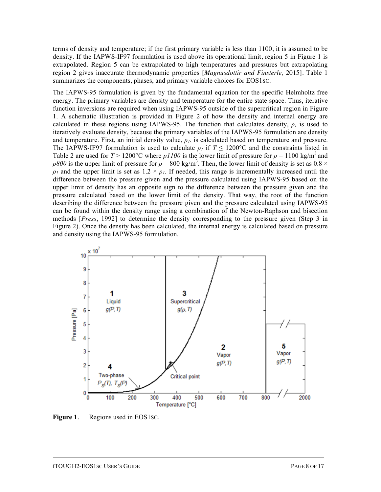terms of density and temperature; if the first primary variable is less than 1100, it is assumed to be density. If the IAPWS-IF97 formulation is used above its operational limit, region 5 in Figure 1 is extrapolated. Region 5 can be extrapolated to high temperatures and pressures but extrapolating region 2 gives inaccurate thermodynamic properties [*Magnusdottir and Finsterle,* 2015]. Table 1 summarizes the components, phases, and primary variable choices for EOS1SC.

The IAPWS-95 formulation is given by the fundamental equation for the specific Helmholtz free energy. The primary variables are density and temperature for the entire state space. Thus, iterative function inversions are required when using IAPWS-95 outside of the supercritical region in Figure 1. A schematic illustration is provided in Figure 2 of how the density and internal energy are calculated in these regions using IAPWS-95. The function that calculates density, *ρ,* is used to iteratively evaluate density, because the primary variables of the IAPWS-95 formulation are density and temperature. First, an initial density value,  $\rho_l$ , is calculated based on temperature and pressure. The IAPWS-IF97 formulation is used to calculate  $\rho_I$  if  $T \le 1200^{\circ}\text{C}$  and the constraints listed in Table 2 are used for  $T > 1200$ °C where  $p1100$  is the lower limit of pressure for  $\rho = 1100 \text{ kg/m}^3$  and *p800* is the upper limit of pressure for  $\rho = 800 \text{ kg/m}^3$ . Then, the lower limit of density is set as 0.8  $\times$  $\rho_1$  and the upper limit is set as  $1.2 \times \rho_1$ . If needed, this range is incrementally increased until the difference between the pressure given and the pressure calculated using IAPWS-95 based on the upper limit of density has an opposite sign to the difference between the pressure given and the pressure calculated based on the lower limit of the density. That way, the root of the function describing the difference between the pressure given and the pressure calculated using IAPWS-95 can be found within the density range using a combination of the Newton-Raphson and bisection methods [*Press*, 1992] to determine the density corresponding to the pressure given (Step 3 in Figure 2). Once the density has been calculated, the internal energy is calculated based on pressure and density using the IAPWS-95 formulation.



Figure 1. Regions used in EOS1sc.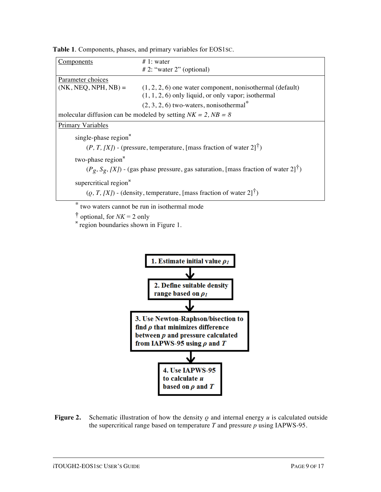| # 1: water<br><u>Components</u>                                                                    |                                                                                  |  |  |  |  |  |  |
|----------------------------------------------------------------------------------------------------|----------------------------------------------------------------------------------|--|--|--|--|--|--|
| $# 2$ : "water 2" (optional)                                                                       |                                                                                  |  |  |  |  |  |  |
| Parameter choices                                                                                  |                                                                                  |  |  |  |  |  |  |
|                                                                                                    | $(NK, NEG, NPH, NB) =$ (1, 2, 2, 6) one water component, nonisothermal (default) |  |  |  |  |  |  |
|                                                                                                    | $(1, 1, 2, 6)$ only liquid, or only vapor; isothermal                            |  |  |  |  |  |  |
|                                                                                                    | $(2, 3, 2, 6)$ two-waters, nonisothermal <sup>*</sup>                            |  |  |  |  |  |  |
|                                                                                                    | molecular diffusion can be modeled by setting $NK = 2$ , $NB = 8$                |  |  |  |  |  |  |
| Primary Variables                                                                                  |                                                                                  |  |  |  |  |  |  |
| single-phase region <sup>*</sup>                                                                   |                                                                                  |  |  |  |  |  |  |
| $(P, T, [X])$ - (pressure, temperature, [mass fraction of water 2] <sup>†</sup> )                  |                                                                                  |  |  |  |  |  |  |
| two-phase region <sup>*</sup>                                                                      |                                                                                  |  |  |  |  |  |  |
| $(P_g, S_g, [X])$ - (gas phase pressure, gas saturation, [mass fraction of water 2] <sup>†</sup> ) |                                                                                  |  |  |  |  |  |  |
| supercritical region <sup>x</sup>                                                                  |                                                                                  |  |  |  |  |  |  |
| $(\rho, T, [X])$ - (density, temperature, [mass fraction of water 2] <sup>†</sup> )                |                                                                                  |  |  |  |  |  |  |
| *<br>two waters cannot be run in isothermal mode                                                   |                                                                                  |  |  |  |  |  |  |

**Table 1**. Components, phases, and primary variables for EOS1SC.

 $\dot{\uparrow}$  optional, for  $NK = 2$  only

<sup>¤</sup> region boundaries shown in Figure 1.



**Figure 2.** Schematic illustration of how the density *ρ* and internal energy *u* is calculated outside the supercritical range based on temperature *T* and pressure *p* using IAPWS-95.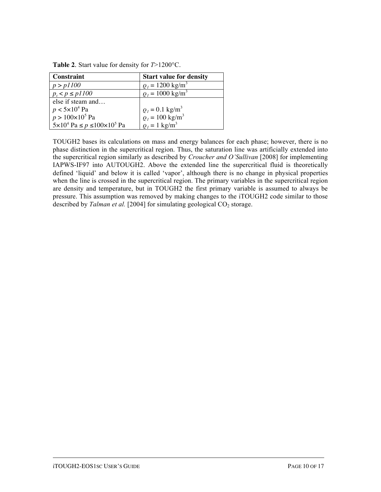| Constraint                                        | <b>Start value for density</b> |
|---------------------------------------------------|--------------------------------|
| p > p1100                                         | $Q_l = 1200$ kg/m <sup>3</sup> |
| $p_c < p \leq p1100$                              | $\rho_l = 1000 \text{ kg/m}^3$ |
| else if steam and                                 |                                |
| $p < 5 \times 10^4$ Pa                            | $Q_l = 0.1$ kg/m <sup>3</sup>  |
| $p > 100 \times 10^5$ Pa                          | $Q_1 = 100 \text{ kg/m}^3$     |
| $5 \times 10^4$ Pa $\le p \le 100 \times 10^5$ Pa | $\rho_l = 1$ kg/m <sup>3</sup> |

**Table 2**. Start value for density for *T*>1200°C.

TOUGH2 bases its calculations on mass and energy balances for each phase; however, there is no phase distinction in the supercritical region. Thus, the saturation line was artificially extended into the supercritical region similarly as described by *Croucher and O'Sullivan* [2008] for implementing IAPWS-IF97 into AUTOUGH2. Above the extended line the supercritical fluid is theoretically defined 'liquid' and below it is called 'vapor', although there is no change in physical properties when the line is crossed in the supercritical region. The primary variables in the supercritical region are density and temperature, but in TOUGH2 the first primary variable is assumed to always be pressure. This assumption was removed by making changes to the iTOUGH2 code similar to those described by *Talman et al.* [2004] for simulating geological CO<sub>2</sub> storage.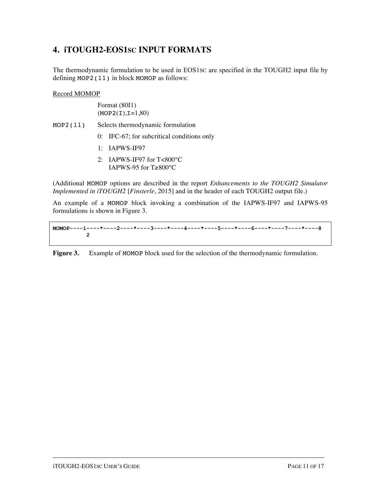#### **4. iTOUGH2-EOS1SC INPUT FORMATS**

The thermodynamic formulation to be used in EOS1SC are specified in the TOUGH2 input file by defining MOP2(11) in block MOMOP as follows:

#### Record MOMOP

Format (80I1)  $(MOP2(I),I=1,80)$ 

- MOP2(11) Selects thermodynamic formulation
	- 0: IFC-67; for subcritical conditions only
	- 1: IAPWS-IF97
	- 2: IAPWS-IF97 for T<800°C IAPWS-95 for T≥800°C

(Additional MOMOP options are described in the report *Enhancements to the TOUGH2 Simulator Implemented in iTOUGH2* [*Finsterle*, 2015] and in the header of each TOUGH2 output file.)

An example of a MOMOP block invoking a combination of the IAPWS-IF97 and IAPWS-95 formulations is shown in Figure 3.

**MOMOP----1----\*----2----\*----3----\*----4----\*----5----\*----6----\*----7----\*----8 2** 

**Figure 3.** Example of MOMOP block used for the selection of the thermodynamic formulation.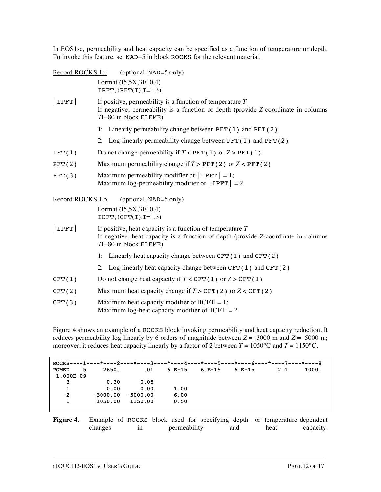In EOS1sc, permeability and heat capacity can be specified as a function of temperature or depth. To invoke this feature, set NAD=5 in block ROCKS for the relevant material.

| Record ROCKS.1.4<br>(optional, NAD=5 only)                                                                       |                                                                                                                                                                            |  |  |  |  |  |
|------------------------------------------------------------------------------------------------------------------|----------------------------------------------------------------------------------------------------------------------------------------------------------------------------|--|--|--|--|--|
|                                                                                                                  | Format (I5,5X,3E10.4)<br>$IPT, (PFT(I), I=1,3)$                                                                                                                            |  |  |  |  |  |
| $ I$ PFT $ $                                                                                                     | If positive, permeability is a function of temperature $T$<br>If negative, permeability is a function of depth (provide Z-coordinate in columns)<br>71-80 in block ELEME)  |  |  |  |  |  |
|                                                                                                                  | 1: Linearly permeability change between PFT(1) and PFT(2)                                                                                                                  |  |  |  |  |  |
|                                                                                                                  | Log-linearly permeability change between $PFT(1)$ and $PFT(2)$<br>2:                                                                                                       |  |  |  |  |  |
| PFT(1)                                                                                                           | Do not change permeability if $T < PFT(1)$ or $Z > PFT(1)$                                                                                                                 |  |  |  |  |  |
| PFT(2)                                                                                                           | Maximum permeability change if $T > PFT(2)$ or $Z < PFT(2)$                                                                                                                |  |  |  |  |  |
| PFT(3)                                                                                                           | Maximum permeability modifier of $ IPT  = 1$ ;<br>Maximum log-permeability modifier of $ IPT  = 2$                                                                         |  |  |  |  |  |
| Record ROCKS.1.5<br>(optional, NAD=5 only)                                                                       |                                                                                                                                                                            |  |  |  |  |  |
|                                                                                                                  | Format (I5,5X,3E10.4)<br>$ICT, (CFT(I), I=1,3)$                                                                                                                            |  |  |  |  |  |
| IPT                                                                                                              | If positive, heat capacity is a function of temperature $T$<br>If negative, heat capacity is a function of depth (provide Z-coordinate in columns<br>71-80 in block ELEME) |  |  |  |  |  |
|                                                                                                                  | 1: Linearly heat capacity change between CFT(1) and CFT(2)                                                                                                                 |  |  |  |  |  |
|                                                                                                                  | 2: Log-linearly heat capacity change between $CFT(1)$ and $CFT(2)$                                                                                                         |  |  |  |  |  |
| CFT(1)                                                                                                           | Do not change heat capacity if $T < CFT(1)$ or $Z > CFT(1)$                                                                                                                |  |  |  |  |  |
| CFT(2)                                                                                                           | Maximum heat capacity change if $T > CFT(2)$ or $Z < CFT(2)$                                                                                                               |  |  |  |  |  |
| Maximum heat capacity modifier of $ ICFT  = 1$ ;<br>CFT(3)<br>Maximum log-heat capacity modifier of $ ICFT  = 2$ |                                                                                                                                                                            |  |  |  |  |  |
|                                                                                                                  |                                                                                                                                                                            |  |  |  |  |  |

Figure 4 shows an example of a ROCKS block invoking permeability and heat capacity reduction. It reduces permeability log-linearly by 6 orders of magnitude between  $Z = -3000$  m and  $Z = -5000$  m; moreover, it reduces heat capacity linearly by a factor of 2 between  $T = 1050^{\circ}$ C and  $T = 1150^{\circ}$ C.

| ROCKS----1----*----2----*----3----*----4----*----5----*----6----*----7----*----8 |                |         |                      |         |  |                                      |  |       |  |
|----------------------------------------------------------------------------------|----------------|---------|----------------------|---------|--|--------------------------------------|--|-------|--|
| POMED                                                                            | 5 <sub>5</sub> |         |                      |         |  | $2650.$ .01 6.E-15 6.E-15 6.E-15 2.1 |  | 1000. |  |
| 1.000E-09                                                                        |                |         |                      |         |  |                                      |  |       |  |
| 3                                                                                |                | 0.30    | 0.05                 |         |  |                                      |  |       |  |
| $\mathbf{1}$                                                                     |                | 0.00    | 0.00                 | 1.00    |  |                                      |  |       |  |
| $-2$                                                                             |                |         | $-3000.00 - 5000.00$ | $-6.00$ |  |                                      |  |       |  |
| $\mathbf{1}$                                                                     |                | 1050.00 | 1150.00              | 0.50    |  |                                      |  |       |  |
|                                                                                  |                |         |                      |         |  |                                      |  |       |  |

**Figure 4.** Example of ROCKS block used for specifying depth- or temperature-dependent changes in permeability and heat capacity.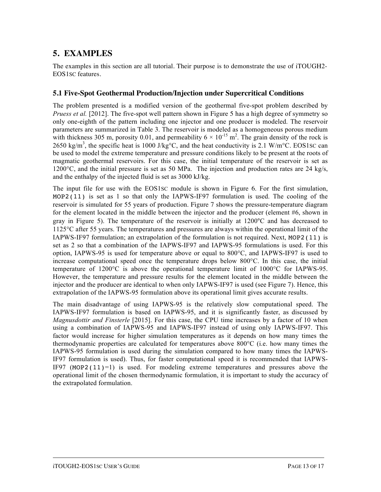## **5. EXAMPLES**

The examples in this section are all tutorial. Their purpose is to demonstrate the use of iTOUGH2- EOS1SC features.

#### **5.1 Five-Spot Geothermal Production/Injection under Supercritical Conditions**

The problem presented is a modified version of the geothermal five-spot problem described by *Pruess et al.* [2012]. The five-spot well pattern shown in Figure 5 has a high degree of symmetry so only one-eighth of the pattern including one injector and one producer is modeled. The reservoir parameters are summarized in Table 3. The reservoir is modeled as a homogeneous porous medium with thickness 305 m, porosity 0.01, and permeability  $6 \times 10^{-15}$  m<sup>2</sup>. The grain density of the rock is 2650 kg/m<sup>3</sup>, the specific heat is 1000 J/kg<sup>o</sup>C, and the heat conductivity is 2.1 W/m<sup>o</sup>C. EOS1sC can be used to model the extreme temperature and pressure conditions likely to be present at the roots of magmatic geothermal reservoirs. For this case, the initial temperature of the reservoir is set as 1200 $\degree$ C, and the initial pressure is set as 50 MPa. The injection and production rates are 24 kg/s, and the enthalpy of the injected fluid is set as 3000 kJ/kg.

The input file for use with the EOS1SC module is shown in Figure 6. For the first simulation, MOP2(11) is set as 1 so that only the IAPWS-IF97 formulation is used. The cooling of the reservoir is simulated for 55 years of production. Figure 7 shows the pressure-temperature diagram for the element located in the middle between the injector and the producer (element #6, shown in gray in Figure 5). The temperature of the reservoir is initially at 1200ºC and has decreased to 1125°C after 55 years. The temperatures and pressures are always within the operational limit of the IAPWS-IF97 formulation; an extrapolation of the formulation is not required. Next, MOP2(11) is set as 2 so that a combination of the IAPWS-IF97 and IAPWS-95 formulations is used. For this option, IAPWS-95 is used for temperature above or equal to 800°C, and IAPWS-IF97 is used to increase computational speed once the temperature drops below 800°C. In this case, the initial temperature of 1200°C is above the operational temperature limit of 1000°C for IAPWS-95. However, the temperature and pressure results for the element located in the middle between the injector and the producer are identical to when only IAPWS-IF97 is used (see Figure 7). Hence, this extrapolation of the IAPWS-95 formulation above its operational limit gives accurate results.

The main disadvantage of using IAPWS-95 is the relatively slow computational speed. The IAPWS-IF97 formulation is based on IAPWS-95, and it is significantly faster, as discussed by *Magnusdottir and Finsterle* [2015]. For this case, the CPU time increases by a factor of 10 when using a combination of IAPWS-95 and IAPWS-IF97 instead of using only IAPWS-IF97. This factor would increase for higher simulation temperatures as it depends on how many times the thermodynamic properties are calculated for temperatures above 800°C (i.e. how many times the IAPWS-95 formulation is used during the simulation compared to how many times the IAPWS-IF97 formulation is used). Thus, for faster computational speed it is recommended that IAPWS-IF97 (MOP2(11)=1) is used. For modeling extreme temperatures and pressures above the operational limit of the chosen thermodynamic formulation, it is important to study the accuracy of the extrapolated formulation.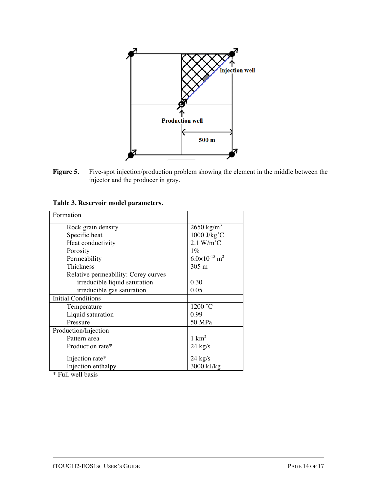

Figure 5. Five-spot injection/production problem showing the element in the middle between the injector and the producer in gray.

**Table 3. Reservoir model parameters.** 

| Formation                           |                                      |  |  |
|-------------------------------------|--------------------------------------|--|--|
| Rock grain density                  | $2650 \text{ kg/m}^3$                |  |  |
| Specific heat                       | $1000$ J/kg $^{\circ}$ C             |  |  |
| Heat conductivity                   | $2.1$ W/m $^{\circ}$ C               |  |  |
| Porosity                            | $1\%$                                |  |  |
| Permeability                        | $6.0 \times 10^{-15}$ m <sup>2</sup> |  |  |
| <b>Thickness</b>                    | 305 m                                |  |  |
| Relative permeability: Corey curves |                                      |  |  |
| irreducible liquid saturation       | 0.30                                 |  |  |
| irreducible gas saturation          | 0.05                                 |  |  |
| <b>Initial Conditions</b>           |                                      |  |  |
| Temperature                         | 1200 °C                              |  |  |
| Liquid saturation                   | 0.99                                 |  |  |
| Pressure                            | 50 MPa                               |  |  |
| Production/Injection                |                                      |  |  |
| Pattern area                        | $1 \text{ km}^2$                     |  |  |
| Production rate*                    | $24 \text{ kg/s}$                    |  |  |
| Injection rate*                     | $24 \text{ kg/s}$                    |  |  |
| Injection enthalpy                  | 3000 kJ/kg                           |  |  |

\* Full well basis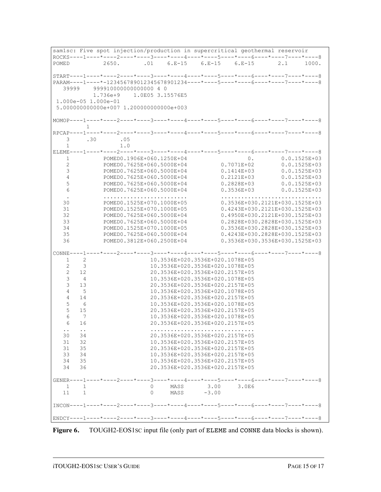|                            |                     |     |                        |                                                        | samlsc: Five spot injection/production in supercritical geothermal reservoir<br>ROCKS----1----*----2----*----3----*----4-----*----5----*----6----*----7----*----8 |                                  |     |                                  |
|----------------------------|---------------------|-----|------------------------|--------------------------------------------------------|-------------------------------------------------------------------------------------------------------------------------------------------------------------------|----------------------------------|-----|----------------------------------|
| POMED                      |                     |     |                        |                                                        | 2650. 01 6.E-15 6.E-15 6.E-15                                                                                                                                     |                                  | 2.1 | 1000.                            |
|                            |                     |     |                        |                                                        | $START-----1-----1-----2-----1-----3-----3-----1-----4-----4-----5-----5-----6---4---6---4---7---1---4---8$                                                       |                                  |     |                                  |
|                            |                     |     |                        |                                                        | PARAM----1----*-123456789012345678901234----*----5----*----6----*----7----*----8                                                                                  |                                  |     |                                  |
| 39999                      |                     |     | 999910000000000000 4 0 | 1.736e+9 1.0E05 3.15576E5                              |                                                                                                                                                                   |                                  |     |                                  |
|                            | 1.000e-05 1.000e-01 |     |                        |                                                        |                                                                                                                                                                   |                                  |     |                                  |
|                            |                     |     |                        | 5.000000000000e+007 1.200000000000e+003                |                                                                                                                                                                   |                                  |     |                                  |
|                            |                     |     |                        |                                                        |                                                                                                                                                                   |                                  |     |                                  |
|                            |                     |     |                        |                                                        | <br> RPCAP----1----*----2----*----3----*----4-----*----5----*----6----*----7----*----8                                                                            |                                  |     |                                  |
| 3                          | .30                 | .05 |                        |                                                        |                                                                                                                                                                   |                                  |     |                                  |
| $\mathbf{1}$               |                     | 1.0 |                        |                                                        |                                                                                                                                                                   |                                  |     |                                  |
|                            |                     |     |                        |                                                        | ELEME----1----*----2----*----3----*----4----*----5----*----6----*----7----*-----8                                                                                 |                                  |     |                                  |
| $\mathbf{1}$               |                     |     |                        | POMED0.1906E+060.1250E+04                              |                                                                                                                                                                   | 0.                               |     | $0.0.1525E+03$                   |
| $\overline{c}$             |                     |     |                        | POMED0.7625E+060.5000E+04                              |                                                                                                                                                                   | $0.7071E + 02$                   |     | $0.0.1525E + 03$                 |
| 3                          |                     |     |                        | POMED0.7625E+060.5000E+04                              |                                                                                                                                                                   | $0.1414E + 03$                   |     | $0.0.1525E + 03$                 |
| $\overline{4}$<br>5        |                     |     |                        | POMED0.7625E+060.5000E+04<br>POMED0.7625E+060.5000E+04 |                                                                                                                                                                   | $0.2121E + 03$                   |     | $0.0.1525E+03$<br>$0.0.1525E+03$ |
| 6                          |                     |     |                        | POMED0.7625E+060.5000E+04                              |                                                                                                                                                                   | $0.2828E + 03$<br>$0.3536E + 03$ |     | $0.0.1525E + 03$                 |
|                            |                     |     |                        |                                                        |                                                                                                                                                                   |                                  |     |                                  |
| 30                         |                     |     |                        | POMED0.1525E+070.1000E+05                              |                                                                                                                                                                   | 0.3536E+030.2121E+030.1525E+03   |     |                                  |
| 31                         |                     |     |                        | POMED0.1525E+070.1000E+05                              |                                                                                                                                                                   | 0.4243E+030.2121E+030.1525E+03   |     |                                  |
| 32                         |                     |     |                        | POMED0.7625E+060.5000E+04                              |                                                                                                                                                                   | 0.4950E+030.2121E+030.1525E+03   |     |                                  |
| 33                         |                     |     |                        | POMED0.7625E+060.5000E+04                              |                                                                                                                                                                   | 0.2828E+030.2828E+030.1525E+03   |     |                                  |
| 34                         |                     |     |                        | POMED0.1525E+070.1000E+05                              |                                                                                                                                                                   | 0.3536E+030.2828E+030.1525E+03   |     |                                  |
| 35                         |                     |     |                        | POMED0.7625E+060.5000E+04                              |                                                                                                                                                                   | 0.4243E+030.2828E+030.1525E+03   |     |                                  |
| 36                         |                     |     |                        | POMED0.3812E+060.2500E+04                              |                                                                                                                                                                   | 0.3536E+030.3536E+030.1525E+03   |     |                                  |
|                            |                     |     |                        |                                                        | $COMNE---1---+---2---+---3---+---4---+---5---+---6---+---6---+---7---+---8$                                                                                       |                                  |     |                                  |
| 1                          | 2                   |     |                        |                                                        | 10.3536E+020.3536E+020.1078E+05                                                                                                                                   |                                  |     |                                  |
| 2                          | 3                   |     |                        |                                                        | 10.3536E+020.3536E+020.1078E+05                                                                                                                                   |                                  |     |                                  |
| $\overline{c}$             | 12                  |     |                        |                                                        | 20.3536E+020.3536E+020.2157E+05                                                                                                                                   |                                  |     |                                  |
| 3                          | $\overline{4}$      |     |                        |                                                        | 10.3536E+020.3536E+020.1078E+05                                                                                                                                   |                                  |     |                                  |
| 3                          | 13                  |     |                        |                                                        | 20.3536E+020.3536E+020.2157E+05                                                                                                                                   |                                  |     |                                  |
| 4                          | 5                   |     |                        |                                                        | 10.3536E+020.3536E+020.1078E+05                                                                                                                                   |                                  |     |                                  |
| $\overline{4}$             | 14                  |     |                        |                                                        | 20.3536E+020.3536E+020.2157E+05                                                                                                                                   |                                  |     |                                  |
| 5                          | - 6                 |     |                        |                                                        | 10.3536E+020.3536E+020.1078E+05                                                                                                                                   |                                  |     |                                  |
| 5                          | 15                  |     |                        |                                                        | 20.3536E+020.3536E+020.2157E+05                                                                                                                                   |                                  |     |                                  |
| 6                          | 7                   |     |                        |                                                        | 10.3536E+020.3536E+020.1078E+05                                                                                                                                   |                                  |     |                                  |
| 6                          | 16                  |     |                        |                                                        | 20.3536E+020.3536E+020.2157E+05                                                                                                                                   |                                  |     |                                  |
| $\ddot{\phantom{0}}$<br>30 | $\ddotsc$<br>34     |     |                        |                                                        | 20.3536E+020.3536E+020.2157E+05                                                                                                                                   |                                  |     |                                  |
| 31                         | 32                  |     |                        |                                                        | 10.3536E+020.3536E+020.2157E+05                                                                                                                                   |                                  |     |                                  |
| 31                         | 35                  |     |                        |                                                        | 20.3536E+020.3536E+020.2157E+05                                                                                                                                   |                                  |     |                                  |
| 33                         | 34                  |     |                        |                                                        | 10.3536E+020.3536E+020.2157E+05                                                                                                                                   |                                  |     |                                  |
| 34                         | 35                  |     |                        |                                                        | 10.3536E+020.3536E+020.2157E+05                                                                                                                                   |                                  |     |                                  |
| 34                         | 36                  |     |                        |                                                        | 20.3536E+020.3536E+020.2157E+05                                                                                                                                   |                                  |     |                                  |
|                            |                     |     |                        |                                                        |                                                                                                                                                                   |                                  |     |                                  |
|                            |                     |     |                        |                                                        | GENER----1----*----2----*----3----*----4----*----5----*----6----*----7----*----8                                                                                  |                                  |     |                                  |
| 1                          | 1                   |     | $\Omega$               |                                                        | MASS 3.00 3.0E6                                                                                                                                                   |                                  |     |                                  |
| 11                         | -1                  |     | $\Omega$               | MASS                                                   | $-3.00$                                                                                                                                                           |                                  |     |                                  |
|                            |                     |     |                        |                                                        | $INCON---1---+---2---+---3---+---4---4---+---5---+---6---+---6---+---7---+---8$                                                                                   |                                  |     |                                  |
|                            |                     |     |                        |                                                        | ENDCY----1----*----2----*----3----*----4----*----5----*----6----*----7----*----8                                                                                  |                                  |     |                                  |
|                            |                     |     |                        |                                                        |                                                                                                                                                                   |                                  |     |                                  |

Figure 6. TOUGH2-EOS1SC input file (only part of ELEME and CONNE data blocks is shown).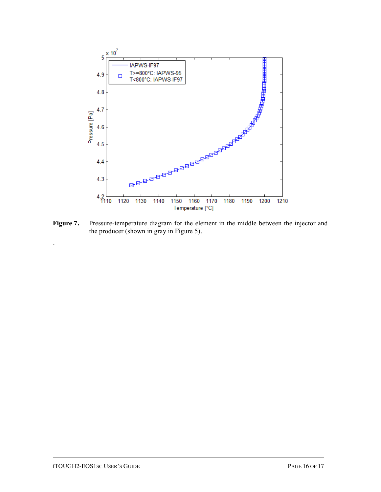

Figure 7. Pressure-temperature diagram for the element in the middle between the injector and the producer (shown in gray in Figure 5).

.